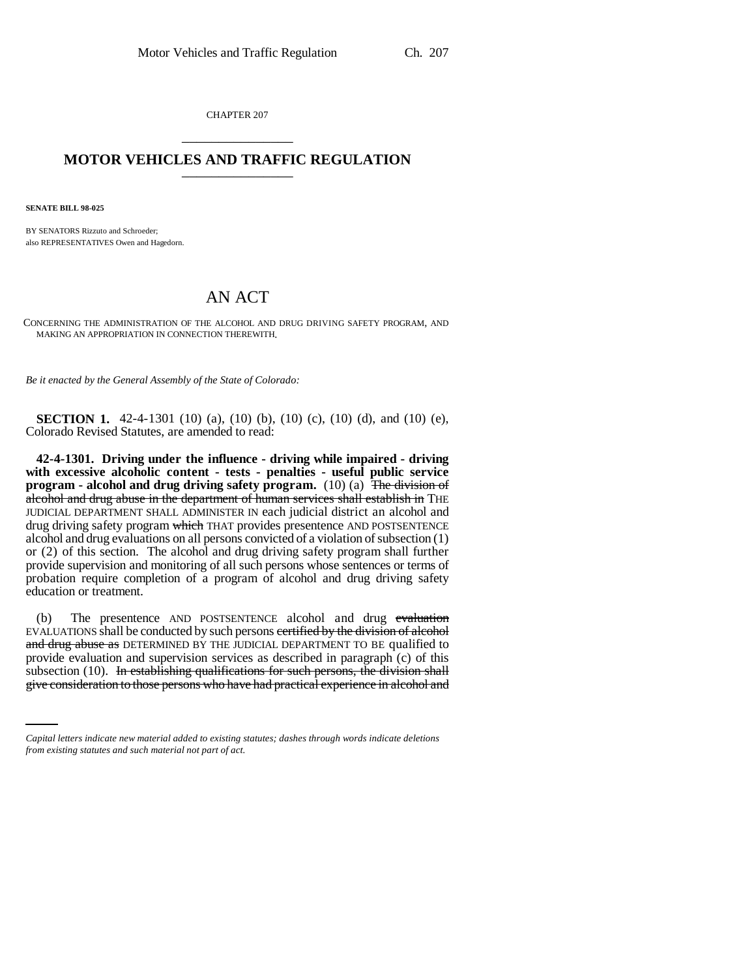CHAPTER 207 \_\_\_\_\_\_\_\_\_\_\_\_\_\_\_

## **MOTOR VEHICLES AND TRAFFIC REGULATION** \_\_\_\_\_\_\_\_\_\_\_\_\_\_\_

**SENATE BILL 98-025**

BY SENATORS Rizzuto and Schroeder; also REPRESENTATIVES Owen and Hagedorn.

## AN ACT

CONCERNING THE ADMINISTRATION OF THE ALCOHOL AND DRUG DRIVING SAFETY PROGRAM, AND MAKING AN APPROPRIATION IN CONNECTION THEREWITH.

*Be it enacted by the General Assembly of the State of Colorado:*

**SECTION 1.** 42-4-1301 (10) (a), (10) (b), (10) (c), (10) (d), and (10) (e), Colorado Revised Statutes, are amended to read:

**42-4-1301. Driving under the influence - driving while impaired - driving with excessive alcoholic content - tests - penalties - useful public service program - alcohol and drug driving safety program.** (10) (a) The division of alcohol and drug abuse in the department of human services shall establish in THE JUDICIAL DEPARTMENT SHALL ADMINISTER IN each judicial district an alcohol and drug driving safety program which THAT provides presentence AND POSTSENTENCE alcohol and drug evaluations on all persons convicted of a violation of subsection (1) or (2) of this section. The alcohol and drug driving safety program shall further provide supervision and monitoring of all such persons whose sentences or terms of probation require completion of a program of alcohol and drug driving safety education or treatment.

provide evaluation and supervision services as described in paragraph (c) of this (b) The presentence AND POSTSENTENCE alcohol and drug evaluation EVALUATIONS shall be conducted by such persons certified by the division of alcohol and drug abuse as DETERMINED BY THE JUDICIAL DEPARTMENT TO BE qualified to subsection  $(10)$ . In establishing qualifications for such persons, the division shall give consideration to those persons who have had practical experience in alcohol and

*Capital letters indicate new material added to existing statutes; dashes through words indicate deletions from existing statutes and such material not part of act.*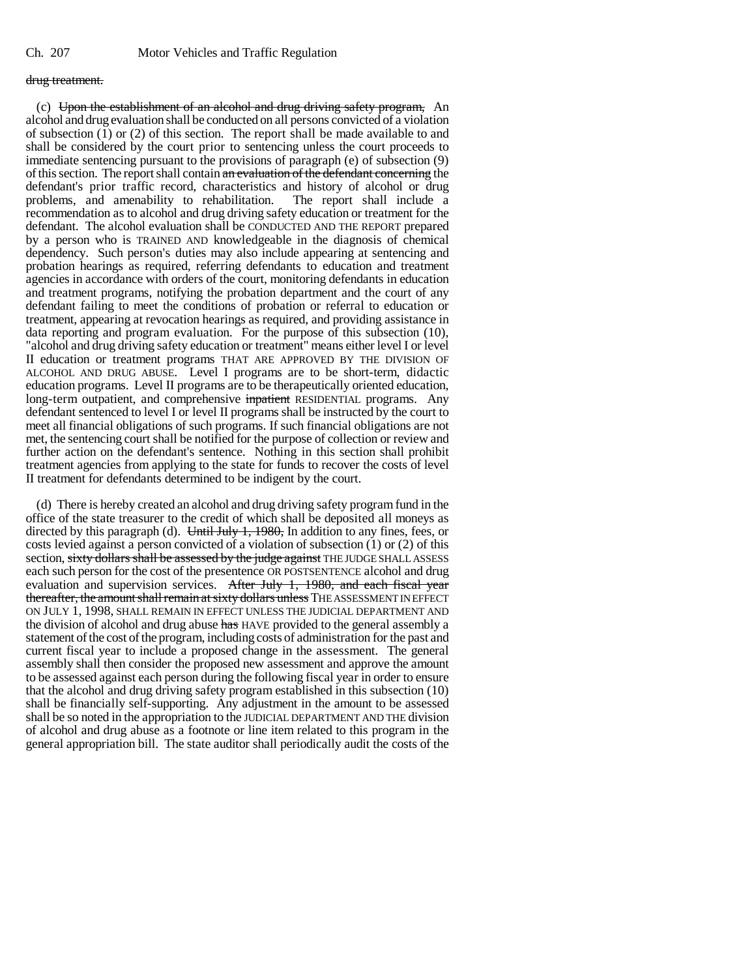## drug treatment.

(c) Upon the establishment of an alcohol and drug driving safety program. An alcohol and drug evaluation shall be conducted on all persons convicted of a violation of subsection  $(1)$  or  $(2)$  of this section. The report shall be made available to and shall be considered by the court prior to sentencing unless the court proceeds to immediate sentencing pursuant to the provisions of paragraph (e) of subsection (9) of this section. The report shall contain an evaluation of the defendant concerning the defendant's prior traffic record, characteristics and history of alcohol or drug problems, and amenability to rehabilitation. The report shall include a problems, and amenability to rehabilitation. recommendation as to alcohol and drug driving safety education or treatment for the defendant. The alcohol evaluation shall be CONDUCTED AND THE REPORT prepared by a person who is TRAINED AND knowledgeable in the diagnosis of chemical dependency. Such person's duties may also include appearing at sentencing and probation hearings as required, referring defendants to education and treatment agencies in accordance with orders of the court, monitoring defendants in education and treatment programs, notifying the probation department and the court of any defendant failing to meet the conditions of probation or referral to education or treatment, appearing at revocation hearings as required, and providing assistance in data reporting and program evaluation. For the purpose of this subsection (10), "alcohol and drug driving safety education or treatment" means either level I or level II education or treatment programs THAT ARE APPROVED BY THE DIVISION OF ALCOHOL AND DRUG ABUSE. Level I programs are to be short-term, didactic education programs. Level II programs are to be therapeutically oriented education, long-term outpatient, and comprehensive inpatient RESIDENTIAL programs. Any defendant sentenced to level I or level II programs shall be instructed by the court to meet all financial obligations of such programs. If such financial obligations are not met, the sentencing court shall be notified for the purpose of collection or review and further action on the defendant's sentence. Nothing in this section shall prohibit treatment agencies from applying to the state for funds to recover the costs of level II treatment for defendants determined to be indigent by the court.

(d) There is hereby created an alcohol and drug driving safety program fund in the office of the state treasurer to the credit of which shall be deposited all moneys as directed by this paragraph (d). Until July 1, 1980, In addition to any fines, fees, or costs levied against a person convicted of a violation of subsection (1) or (2) of this section, sixty dollars shall be assessed by the judge against THE JUDGE SHALL ASSESS each such person for the cost of the presentence OR POSTSENTENCE alcohol and drug evaluation and supervision services. After July 1, 1980, and each fiscal year thereafter, the amount shall remain at sixty dollars unless THE ASSESSMENT IN EFFECT ON JULY 1, 1998, SHALL REMAIN IN EFFECT UNLESS THE JUDICIAL DEPARTMENT AND the division of alcohol and drug abuse has HAVE provided to the general assembly a statement of the cost of the program, including costs of administration for the past and current fiscal year to include a proposed change in the assessment. The general assembly shall then consider the proposed new assessment and approve the amount to be assessed against each person during the following fiscal year in order to ensure that the alcohol and drug driving safety program established in this subsection (10) shall be financially self-supporting. Any adjustment in the amount to be assessed shall be so noted in the appropriation to the JUDICIAL DEPARTMENT AND THE division of alcohol and drug abuse as a footnote or line item related to this program in the general appropriation bill. The state auditor shall periodically audit the costs of the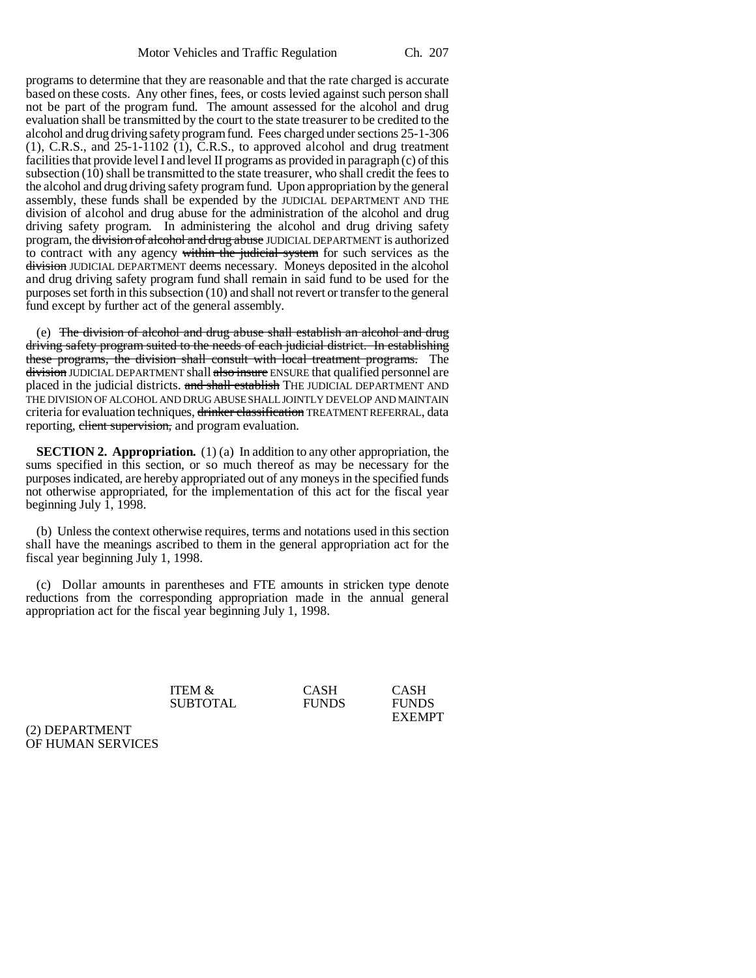programs to determine that they are reasonable and that the rate charged is accurate based on these costs. Any other fines, fees, or costs levied against such person shall not be part of the program fund. The amount assessed for the alcohol and drug evaluation shall be transmitted by the court to the state treasurer to be credited to the alcohol and drug driving safety program fund. Fees charged under sections 25-1-306 (1), C.R.S., and 25-1-1102 (1), C.R.S., to approved alcohol and drug treatment facilities that provide level I and level II programs as provided in paragraph (c) of this subsection (10) shall be transmitted to the state treasurer, who shall credit the fees to the alcohol and drug driving safety program fund. Upon appropriation by the general assembly, these funds shall be expended by the JUDICIAL DEPARTMENT AND THE division of alcohol and drug abuse for the administration of the alcohol and drug driving safety program. In administering the alcohol and drug driving safety program, the division of alcohol and drug abuse JUDICIAL DEPARTMENT is authorized to contract with any agency within the judicial system for such services as the division JUDICIAL DEPARTMENT deems necessary. Moneys deposited in the alcohol and drug driving safety program fund shall remain in said fund to be used for the purposes set forth in this subsection (10) and shall not revert or transfer to the general fund except by further act of the general assembly.

(e) The division of alcohol and drug abuse shall establish an alcohol and drug driving safety program suited to the needs of each judicial district. In establishing these programs, the division shall consult with local treatment programs. The division JUDICIAL DEPARTMENT shall also insure ENSURE that qualified personnel are placed in the judicial districts. and shall establish THE JUDICIAL DEPARTMENT AND THE DIVISION OF ALCOHOL AND DRUG ABUSE SHALL JOINTLY DEVELOP AND MAINTAIN criteria for evaluation techniques, drinker classification TREATMENT REFERRAL, data reporting, elient supervision, and program evaluation.

**SECTION 2. Appropriation.** (1) (a) In addition to any other appropriation, the sums specified in this section, or so much thereof as may be necessary for the purposes indicated, are hereby appropriated out of any moneys in the specified funds not otherwise appropriated, for the implementation of this act for the fiscal year beginning July 1, 1998.

(b) Unless the context otherwise requires, terms and notations used in this section shall have the meanings ascribed to them in the general appropriation act for the fiscal year beginning July 1, 1998.

(c) Dollar amounts in parentheses and FTE amounts in stricken type denote reductions from the corresponding appropriation made in the annual general appropriation act for the fiscal year beginning July 1, 1998.

| <b>ITEM &amp;</b> | <b>CASH</b>  | <b>CASH</b>   |
|-------------------|--------------|---------------|
| <b>SUBTOTAL</b>   | <b>FUNDS</b> | <b>FUNDS</b>  |
|                   |              | <b>EXEMPT</b> |

(2) DEPARTMENT OF HUMAN SERVICES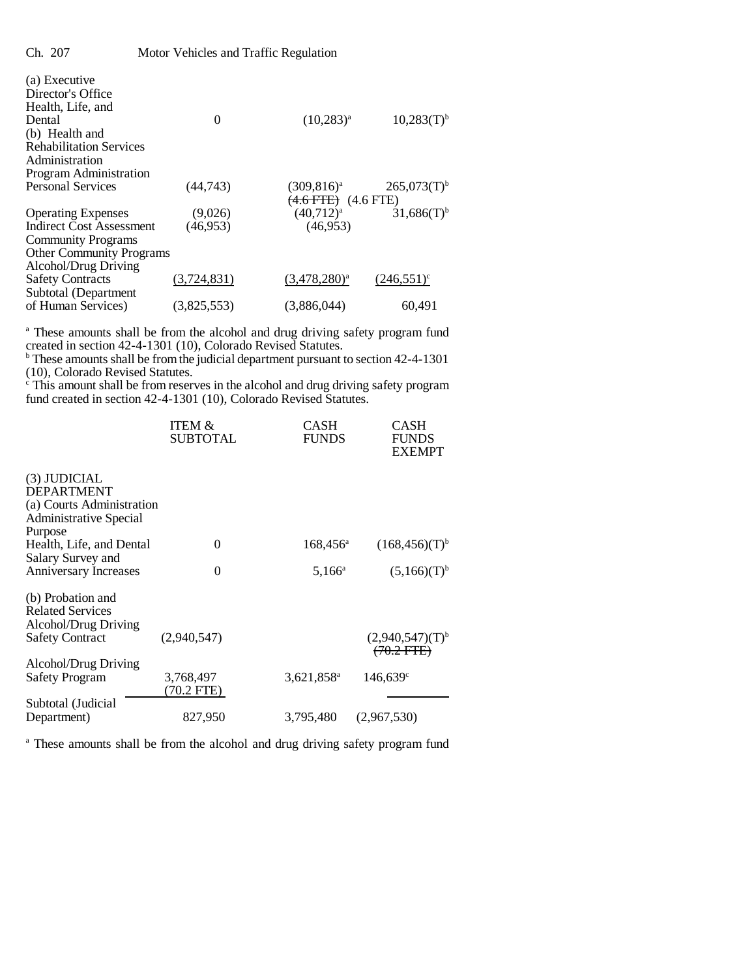| (a) Executive                   |             |                                |                           |
|---------------------------------|-------------|--------------------------------|---------------------------|
| Director's Office               |             |                                |                           |
| Health, Life, and               |             |                                |                           |
| Dental                          | 0           | $(10,283)^{a}$                 | $10,283(T)$ <sup>b</sup>  |
| (b) Health and                  |             |                                |                           |
| <b>Rehabilitation Services</b>  |             |                                |                           |
| Administration                  |             |                                |                           |
| Program Administration          |             |                                |                           |
| <b>Personal Services</b>        | (44,743)    | $(309, 816)^a$                 | $265,073(T)$ <sup>b</sup> |
|                                 |             | <del>(4.6 FTE)</del> (4.6 FTE) |                           |
| <b>Operating Expenses</b>       | (9,026)     | $(40,712)^{a}$                 | $31,686(T)$ <sup>b</sup>  |
| <b>Indirect Cost Assessment</b> | (46.953)    | (46, 953)                      |                           |
| <b>Community Programs</b>       |             |                                |                           |
| <b>Other Community Programs</b> |             |                                |                           |
| Alcohol/Drug Driving            |             |                                |                           |
| <b>Safety Contracts</b>         | (3,724,831) | $(3,478,280)^a$                | $(246,551)^{\circ}$       |
| Subtotal (Department            |             |                                |                           |
| of Human Services)              | (3,825,553) | (3,886,044)                    | 60,491                    |
|                                 |             |                                |                           |

<sup>a</sup> These amounts shall be from the alcohol and drug driving safety program fund

created in section 42-4-1301 (10), Colorado Revised Statutes. b These amounts shall be from the judicial department pursuant to section 42-4-1301 (10), Colorado Revised Statutes. c This amount shall be from reserves in the alcohol and drug driving safety program

fund created in section 42-4-1301 (10), Colorado Revised Statutes.

|                              | <b>ITEM &amp;</b><br><b>SUBTOTAL</b> | CASH<br><b>FUNDS</b>   | CASH<br><b>FUNDS</b><br><b>EXEMPT</b> |
|------------------------------|--------------------------------------|------------------------|---------------------------------------|
| (3) JUDICIAL                 |                                      |                        |                                       |
| <b>DEPARTMENT</b>            |                                      |                        |                                       |
| (a) Courts Administration    |                                      |                        |                                       |
| Administrative Special       |                                      |                        |                                       |
| Purpose                      |                                      |                        |                                       |
| Health, Life, and Dental     | 0                                    | $168,456^{\circ}$      | (168,456)(T) <sup>b</sup>             |
| Salary Survey and            |                                      |                        |                                       |
| <b>Anniversary Increases</b> | 0                                    | $5,166^{\circ}$        | (5,166)(T) <sup>b</sup>               |
|                              |                                      |                        |                                       |
| (b) Probation and            |                                      |                        |                                       |
| <b>Related Services</b>      |                                      |                        |                                       |
| Alcohol/Drug Driving         |                                      |                        |                                       |
| <b>Safety Contract</b>       | (2,940,547)                          |                        | $(2,940,547)(T)^{b}$                  |
|                              |                                      |                        | $(70.2$ FTE $)$                       |
| Alcohol/Drug Driving         |                                      |                        |                                       |
| <b>Safety Program</b>        | 3,768,497                            | 3,621,858 <sup>a</sup> | $146,639$ <sup>c</sup>                |
|                              | (70.2 FTE)                           |                        |                                       |
| Subtotal (Judicial           |                                      |                        |                                       |
| Department)                  | 827,950                              | 3,795,480              | (2,967,530)                           |

<sup>a</sup> These amounts shall be from the alcohol and drug driving safety program fund